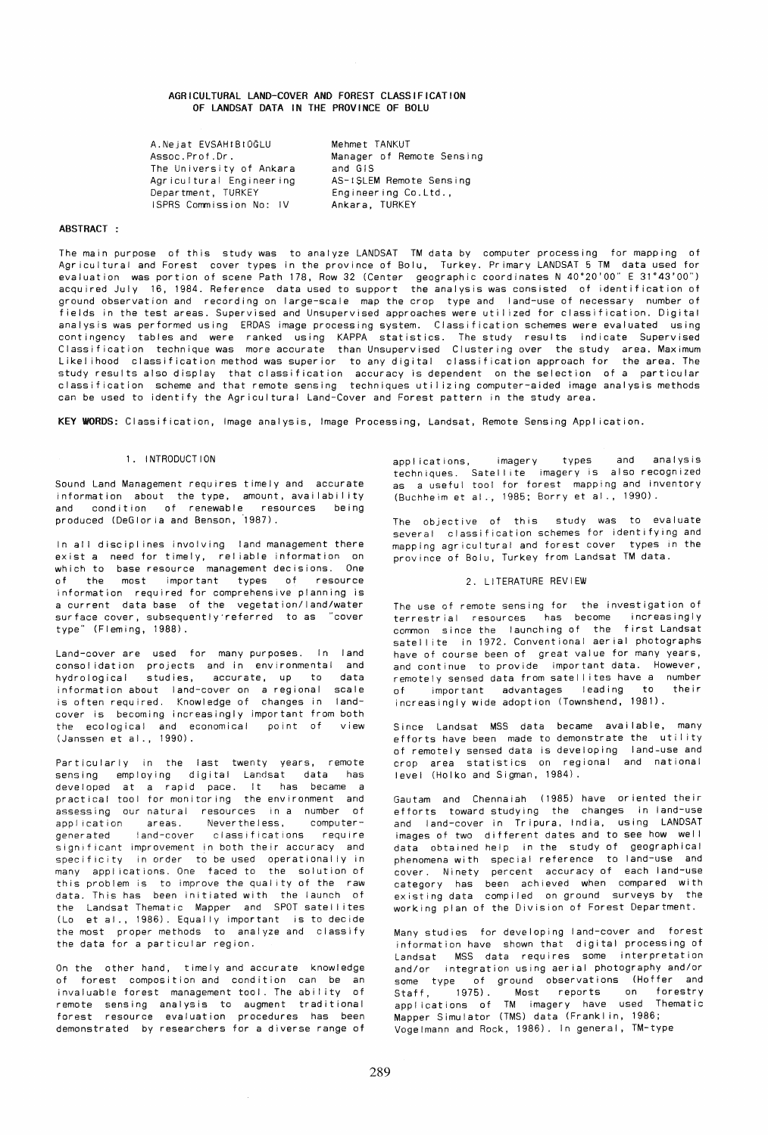# AGRICULTURAL LAND-COVER AND FOREST CLASSIFICATION OF LANDSAT DATA IN THE PROVINCE OF BOLU

A.Nejat EVSAHtBtOdLU Assoc.Prof.Dr. Mehmet TANKUT The University of Ankara Agricultural Engineering Department, TURKEY Manager of Remote Sensing and GIS ISPRS Commission No: IV AS-1SLEM Remote Sensing Engineering Co.Ltd., Ankara, TURKEY

## ABSTRACT:

The main purpose of this study was to analyze LANDSAT TM data by computer processing for mapping of Agricultural and Forest cover types in the province of Bolu, Turkey. Primary LANDSAT 5 TM data used for evaluation was portion of scene Path 178, Row 32 (Center geographic coordinates N 40"20'00" E 31"43'00") acquired July 16, 1984. Reference data used to support the analysis was consisted of identification of ground observation and recording on large-scale map the crop type and land-use of necessary number of fields in the test areas. Supervised and Unsupervised approaches were uti I ized for classification. Digital analysis was performed using ERDAS image processing system. Classification schemes were evaluated using contingency tables and were ranked using KAPPA statistics. The study results indicate Supervised Classification technique was more accurate than Unsupervised Clustering over the study area. Maximum Likel ihood classification method was superior to any digital classification approach for the area. The study results also display that classification accuracy is dependent on the selection of a particular classification scheme and that remote sensing techniques utilizing computer-aided image analysis methods can be used to identify the Agricultural Land-Cover and Forest pattern in the study area.

KEY WRDS: Classification, Image analysis, Image Processing, Landsat, Remote Sensing Application.

# 1. I NTRODUCT ION

Sound Land Management requires timely and accurate information about the type, amount, availability and condition of renewable resources being produced (DeGloria and Benson, 1987).

In all disciplines involving land management there exist a need for timely, rei iable information on which to base resource management decisions. One of the most important types of resource information required for comprehensive planning is a current data base of the vegetation/land/water surface cover, subsequently'referred to as "cover type" (Fleming, 1988).

Land-cover are used for many purposes. In land consolidation projects and in environmental and hydrological studies, accurate, up to data information about land-cover on a regional scale is often required. Knowledge of changes in landcover is becoming increasingly important from both the ecological and economical point of view (Janssen et al., 1990).

Particularly in the last twenty years, remote sensing employing digital Landsat data has developed at a rapid pace. It has became a practical tool for monitoring the environment and assessing our natural resources In a number of appl ication areas. Nevertheless, computergenerated land-cover classifications require generated land-cover classifications require<br>significant improvement in both their accuracy and specificity in order to be used operationally in many appl ications. One faced to the solution of this problem is to improve the qual ity of the raw data. This has been initiated with the launch of the Landsat Thematic Mapper and SPOT satellites (Lo et al., 1986). Equally important is to decide the most proper methods to analyze and classify the data for a particular region.

On the other hand, timely and accurate knowledge of forest composition and condition can be an invaluable forest management tool. The ability of remote sensing analysis to augment traditional forest resource evaluation procedures has been demonstrated by researchers for a diverse range of

appl ications, imagery types and analysis techniques. Satell ite imagery is also recognized as a useful tool for forest mapping and inventory (Buchheim et al., 1985; Borry et al., 1990).

The objective of this study was to evaluate several classification schemes for identifying and mapping agricultural and forest cover types in the province of Bolu, Turkey from Landsat TM data.

# 2. LITERATURE REVIEW

The use of remote sensing for the investigation of terrestrial resources has become increasingly common since the launching of the first Landsat satellite in 1972. Conventional aerial photographs have of course been of great value for many years, and continue to provide important data. However, remotely sensed data from satellites have a number of important advantages leading to their increasingly wide adoption (Townshend, 1981).

Since Landsat MSS data became avai lable, many efforts have been made to demonstrate the utility of remotely sensed data is developing land-use and crop area statistics on regional and national level (Holko and Sigman, 1984).

Gautam and Chennaiah (1985) have oriented their efforts toward studying the changes in land-use and land-cover in Tripura, India, using LANDSAT images of two different dates and to see how well data obtained help in the study of geographical phenomena with special reference to land-use and cover. Ninety percent accuracy of each land-use category has been achieved when compared with existing data compiled on ground surveys by the working plan of the Division of Forest Department.

Many studies for developing land-cover and forest information have shown that digital processing of Landsat MSS data requires some interpretation and/or integration using aerial photography and/or some type of ground observations (Hoffer and Staff, 1975). Most reports on forestry appl ications of TM imagery have used Thematic Mapper Simulator (TMS) data (Franklin, 1986; Vogelmann and Rock, 1986). In general, TM-type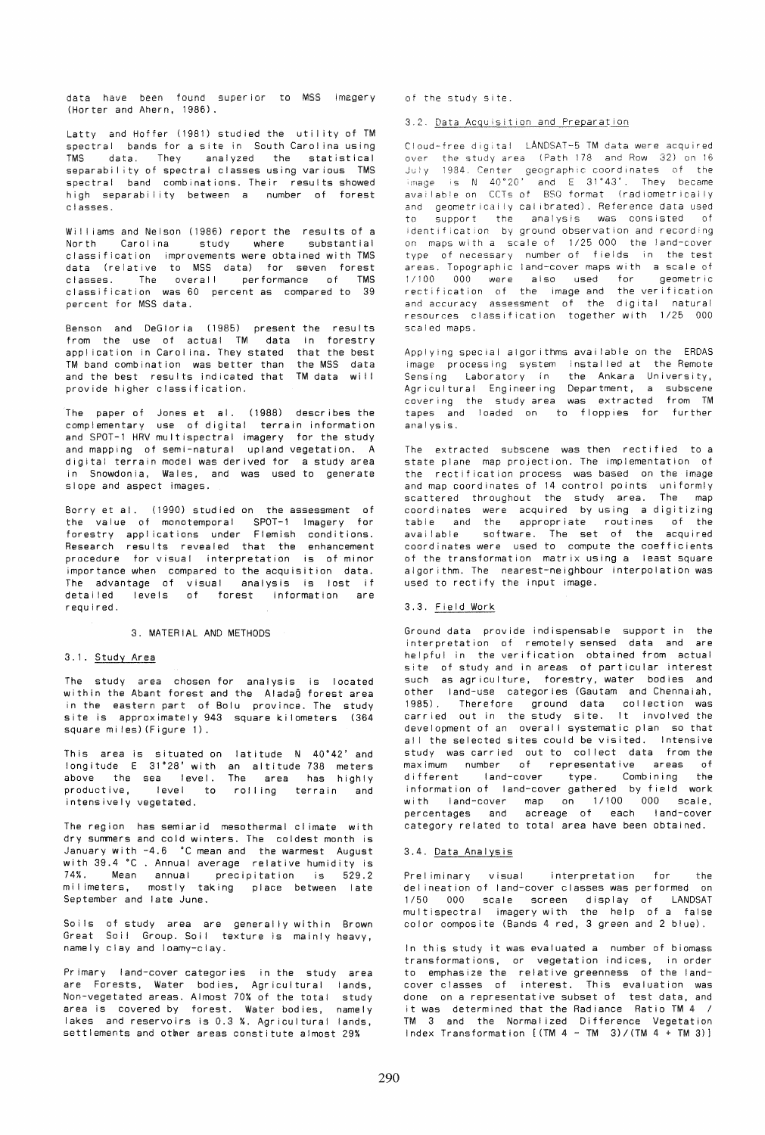data have been found superior to MSS imegery (Horter and Ahern, 1986).

Latty and Hoffer (1981) studied the utility of TM spectral bands for a site in South Carol ina using TMS data. They analyzed the statistical separability of spectral classes using various TMS spectral band combinations. Their results showed high separability between a number of forest classes.

Williams and Nelson (1986) report the results of a<br>North Carolina study where substantial Carolina study where classification improvements were obtained with TMS data (relative to MSS data) for seven forest classes. The overall performance of TMS classification was 60 percent as compared to 39 percent for MSS data.

Benson and DeGloria (1985) present the results from the use of actual TM data in forestry application in Carolina. They stated that the best<br>TM band combination was better than the MSS data  $TM$  band combination was better than and the best results indicated that TM data will provide higher classification.

The paper of Jones et al. (1988) describes the complementary use of digital terrain information and SPOT-l HRV multispectral imagery for the study and mapping of semi-natural upland vegetation. A digital terrain model was derived for a study area in Snowdonia, Wales, and was used to generate slope and aspect images.

Borry et al. (1990) studied on the assessment of the value of monotemporal SPOT-l Imagery tor forestry appl ications under Flemish conditions. Research results revealed that the enhancement procedure for visual interpretation is of minor importance when compared to the acquisition data. The advantage of visual analysis is lost if detailed levels of forest information are required.

3. MATERIAL AND METHODS

### 3.1. Study Area

The study area chosen for analysis is located within the Abant forest and the Aladag forest area in the eastern part of Bolu province. The study site is approximately 943 square ki lometers (364 square miles)(Figure 1).

This area is situated on latitude N 40·42' and longitude E 31°28' with an altitude 738 meters above the sea level. The area has highly productive, level to rolling terrain and intensively vegetated.

The region has semiarid mesothermal cl imate with dry summers and cold winters. The coldest month is January with -4.6 °C mean and the warmest August with 39.4 ·C . Annual average relative humidity is 74%. Mean annual precipitation is 529.2 mi I imeters, mostly taking place between late September and late June.

Soils of study area are generally within Brown Great Soil Group. Soil texture is mainly heavy, namely clay and loamy-clay.

Primary land-cover categories in the study area are Forests, Water bodies, Agricultural lands, Non-vegetated areas. Almost 70% of the total study area is covered by forest. Water bodies, namely lakes and reservoirs is 0.3 %. Agricultural lands, settlements and other areas constitute almost 29%

of the study site.

## 3.2. Data Acquisition and Preparation

Cloud-free digital LANDSAT-5 TM data were acquired over the study area (Path 178 and Row 32) on 16 July 1984. Center geographic coordinates of the mage IS N 40"20' and E 31"43'. They became available on CCTs of BSO format (radiometrically and geometrically calibrated). Reference data used to support the analysis was consisted of identif ication by ground observation and recording on maps with a scale of 1/25 000 the land-cover type of necessary number of fields in the test areas. Topographic land-cover maps with a scale of *1/100* 000 were also used for geometric rectification of the image and the ver ification and accuracy assessment of the digital natural resources classification together with 1/25 000 scaled maps.

Applying special algorithms avai lable on the ERDAS image processing system installed at the Remote<br>Sensing Laboratory in the Ankara University,  $Sensing$  Laboratory in Agricultural Engineering Department, a subscene covering the study area was extracted from TM tapes and loaded on to floppies for further analysis.

The extracted subscene was then rectified to a state plane map projection. The implementation of the rectification process was based on the image and map coordinates of 14 control points uniformly scattered throughout the study area. The map coordinates were acquired by using a digitizing table and the appropriate routines of the avai lable software. The set of the acquired coordinates were used to compute the coefficients of the transformation matrix using a least square algorithm. The nearest-neighbour interpolation was used to rectify the input image.

### 3.3. Field Work

Ground data provide indispensable support in the interpretation of remotely sensed data and are helpful in the verification obtained from actual site of study and in areas of particular interest such as agriculture, forestry, water bodies and other land-use categories (Gautam and Chennaiah, 1985). Therefore ground data collection was carried out in the study site. It involved the development of an overall systematic plan so that all the selected sites could be visited. Intensive study was carried out to collect data from the maximum number of representative areas of different land-cover type. Combining the information of land-cover gathered by field work with land-cover map on *1/100* 000 scale, percentages and acreage of each land-cover category related to total area have been obtained.

# 3.4. Data Analysis

Preliminary visual interpretation for the del ineation of land-cover classes was performed on *1/50* 000 scale screen display of LANDSAT multispectral imagery with the help of a false color composite (Bands 4 red, 3 green and 2 blue).

In this study it was evaluated a number of biomass transformations, or vegetation indices, in order to emphasize the relative greenness of the landcover classes of interest. This evaluation was done on a representative subset of test data, and it was determined that the Radiance Ratio TM 4 / TM 3 and the Normal ized Difference Vegetation Index Transformation [(TM 4 - TM *3)/(TM* 4 + TM 3)J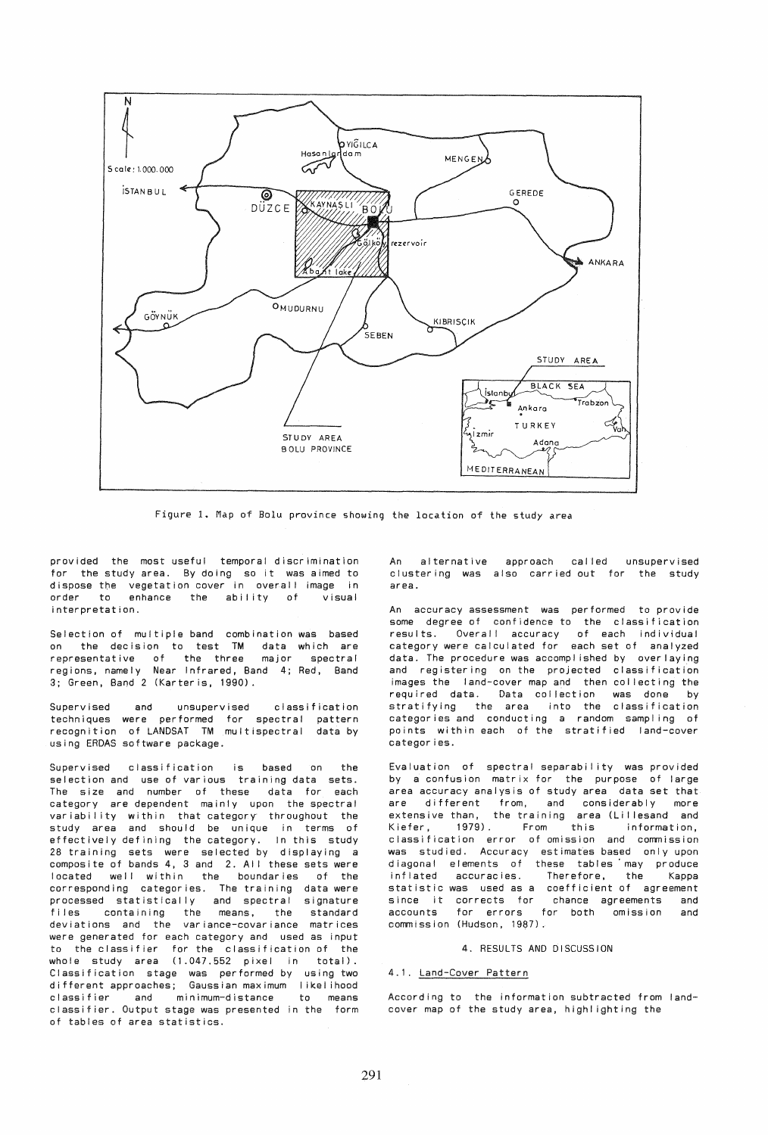

Figure 1. Map of Bolu province showing the location of the study *area* 

provided the most useful temporal discrimination for the study area. By doing so it was aimed to dispose the vegetation cover in overall image in order to enhance the ability of visual interpretation.

Selection of multiple band combination was based on the decision to test TM data which are representative of the three major spectral regions. namely Near Infrared, Band 4; Red, Band 3; Green, Band 2 (Karteris, 1990).

Supervised and unsupervised classification techniques were performed for spectral pattern recognition of lANDSAT TM multispectral data by using ERDAS software package.

Supervised classification is based on the selection and use of various training data sets. The size and number of these data for each category are dependent mainly upon the spectral variability within that category throughout the study area and should be unique in terms of effectively defining the category. In this study 28 training sets were selected by displaying a composite of bands 4, 3 and 2. All these sets were located well within the boundaries of the corresponding categories. The training data were processed statistically and spectral signature files containing the means, the standard deviations and the variance-covariance matrices were generated for each category and used as input to the classifier for the classification of the whole study area (1.047.552 pixel in total). Classification stage was performed by using two different approaches; Gaussian maximum likelihood<br>classifier and minimum-distance to means classifier and minimum-distance to means classifier. Output stage was presented in the form of tables of area statistics.

An alternative clustering was also carried out for the study area. approach called unsupervised

An accuracy assessment was performed to provide some degree of confidence to the classification results. Overall accuracy of each individual category were calculated for each set of analyzed data. The procedure was accomplished by overlaying and registering on the projected classification images the land-cover map and then collecting the required data. Data collection was done by stratifying the area into the classification categories and conducting a random sampling of<br>points within each of the stratified land-cover categories.

Evaluation of spectral separability was provided by a confusion matrix for the purpose of large area accuracy analysis of study area data set that are different from, and considerably more extensive than, the training area (Lillesand and Kiefer, 1979). From this information, classification error of omission and commission was studied. Accuracy estimates based only upon diagonal elements of these tables may produce inflated accuracies. Therefore, the Kappa statistic was used as a coefficient of agreement since it corrects for chance agreements and accounts for errors for both omission and commission (Hudson, 1987).

#### 4. RESULTS AND DISCUSSION

# 4.1. Land-Cover Pattern

According to the information subtracted from landcover map of the study area, highl ighting the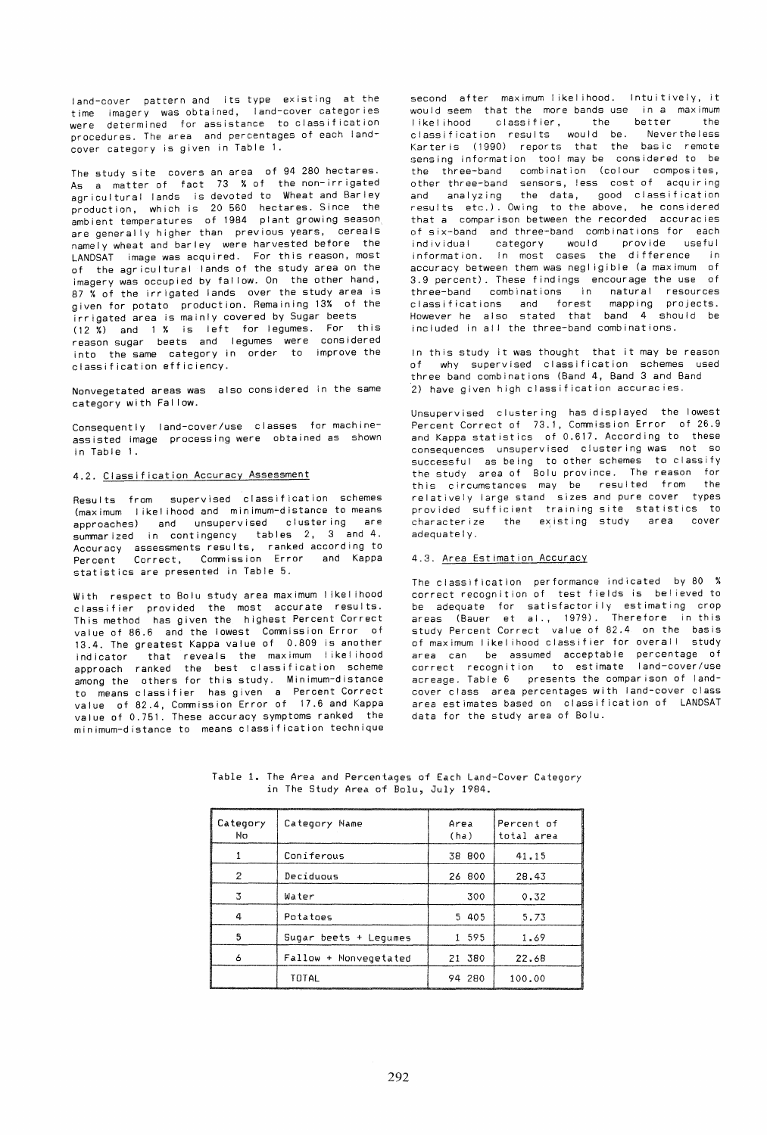land-cover pattern and its type existing at the time imagery was obtained, land-cover categories were determined for assistance to classification procedures. The area and percentages of each landcover category is given in Table 1.

The study site covers an area of 94 280 hectares. As a matter of fact 73 % of the non-irrigated agricultural lands is devoted to Wheat and Barley production, which is 20 560 hectares. Since the ambient temperatures of 1984 plant growing season are generally higher than previous years, cereals namely wheat and barley were harvested before the LANDSAT image was acquired. For this reason, most of the agricultural lands of the study area on the imagery was occupied by fallow. On the other hand, 87 % of the irrigated lands over the study area is given for potato production. Remaining 13% of the irrigated area is mainly covered by Sugar beets  $(12 \tX)$  and 1 % is left for legumes. For this reason sugar beets and legumes were considered into the same category in order to improve the classification efficiency.

Nonvegetated areas was also considered in the same category with Fal low.

Consequently land-cover/use classes for machineassisted image processing were obtained as shown in Table 1.

# 4.2. Classification Accuracy Assessment

Results from supervised classification schemes (maximum I ikel ihood and minimum-distance to means approaches) and unsupervised clustering are summarized in contingency tables 2, 3 and 4. Accuracy assessments results, ranked according to Percent Correct, Commission Error and Kappa statistics are presented in Table 5.

With respect to Bolu study area maximum I ikel ihood classifier provided the most accurate results. This method has given the highest Percent Correct value of 86.6 and the lowest Commission Error of 13.4. The greatest Kappa value of 0.809 is another indicator that reveals the maximum I ikel ihood approach ranked the best classification scheme among the others for this study. Minimum-distance to means classifier has given a Percent Correct value of 82.4, Commission Error of 17.6 and Kappa value of 0.751. These accuracy symptoms ranked the minimum-distance to means classification technique second after maximum likelihood. Intuitively, it would seem that the more bands use in a maximum<br>likelihood closeifier the better the likelihood classifier, the better classification results would be. Nevertheless Karteris (1990) reports that the basic remote sensing information tool may be considered to be the three-band combination (colour composites, other three-band sensors, less cost of acquiring and analyzing the data, good classification results etc.). Owing to the above, he considered that a comparison between the recorded accuracies of six-band and three-band combinations for each individual category would provide useful information. In most cases the difference in accuracy between them was negligible (a maximum of 3.9 percent). These findings encourage the use of three-band combinations in natural resources classifications and forest mapping projects. However he also stated that band 4 should be included in all the three-band combinations.

In this study it was thought that it may be reason<br>of twhy supervised classification schemes used why supervised classification schemes used three band combinations (Band 4, Band 3 and Band .<br>2) have given high classification accuracies.

Unsupervised clustering has displayed the lowest Percent Correct of 73.1, Commission Error of 26.9 and Kappa statistics of 0.617. According to these consequences unsupervised clustering was not so successful as being to other schemes to classify the study area of Bolu province. The reason for<br>this circumstances may be resulted from the this circumstances may be resulted from relatively large stand sizes and pure cover types provided sufficient training site statistics to characterize the existing study area cover adequately.

## 4.3. Area Estimation Accuracy

The classification performance indicated by 80 % correct recognition of test fields is believed to correct recognition of test fields is befieved to<br>be adequate for satisfactorily estimating crop<br>areas (Bauer et al., 1979). Therefore in this study Percent Correct value of 82.4 on the basis of maximum I ikel ihood classifier for overall study area can be assumed acceptable percentage of correct recognition to estimate land-cover/use acreage. Table 6 presents the comparison of landcover class area percentages with land-cover class area estimates based on classification of LANDSAT data for the study area of Bolu.

| Category<br>Nо | Category Name         | Area<br>(ha) | Percent of<br>total area |
|----------------|-----------------------|--------------|--------------------------|
|                | Coniferous            | 38 800       | 41.15                    |
| 2              | Deciduous             | 26 800       | 28.43                    |
|                | Water                 | 300          | 0.32                     |
| а              | Potatoes              | 5 405        | 5.73                     |
| 5              | Sugar beets + Legumes | 1 595        | 1.69                     |
| 6              | Fallow + Nonvegetated | 21 380       | 22.68                    |
|                | TOTAL                 | 94 280       | 100.00                   |

Table 1. The Area and Percentages of Each Land-Cover Category in The Study Area of Bolu, July 1984.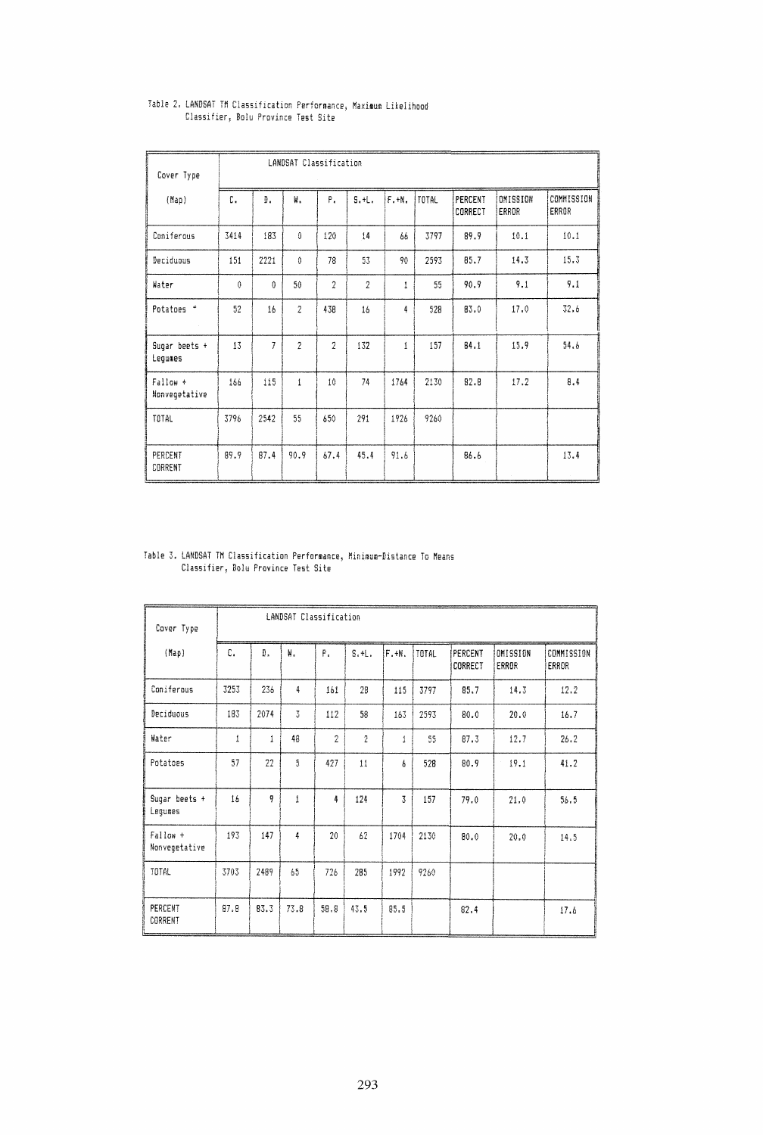| Cover Type                | LANDSAT Classification |                |                |                |                |              |              |                    |                   |                     |
|---------------------------|------------------------|----------------|----------------|----------------|----------------|--------------|--------------|--------------------|-------------------|---------------------|
| (Map)                     | C.                     | D.             | ₩.             | Ρ.             | S.H.           | F.H.         | <b>TOTAL</b> | PERCENT<br>CORRECT | OMISSION<br>ERROR | COMMISSION<br>ERROR |
| Coniferous                | 3414                   | 183            | 0              | 120            | 14             | 66           | 3797         | 89.9               | 10.1              | 10.1                |
| Deciduous                 | 151                    | 2221           | Û              | 78             | 53             | 90           | 2593         | 85.7               | 14.3              | 15.3                |
| Water                     | $\theta$               | 0              | 50             | $\overline{2}$ | $\overline{2}$ | 1            | 55           | 90.9               | 9.1               | 9.1                 |
| Potatoes *                | 52                     | 16             | $\overline{2}$ | 438            | 16             | 4            | 528          | 83.0               | 17.0              | 32.6                |
| Sugar beets +<br>Lequmes  | 13                     | $\overline{I}$ | $\overline{2}$ | $\overline{2}$ | 132            | $\mathbf{1}$ | 157          | 84.1               | 15.9              | 54.6                |
| Fallow +<br>Nonvegetative | 166                    | 115            | $\mathbf{1}$   | 10             | 74             | 1764         | 2130         | 82.8               | 17.2              | 8.4                 |
| TOTAL                     | 3796                   | 2542           | 55             | 650            | 291            | 1926         | 9260         |                    |                   |                     |
| PERCENT<br>CORRENT        | 89.9                   | 87.4           | 90.9           | 67.4           | 45.4           | 91.6         |              | 86.6               |                   | 13.4<br>$\sim$      |

# Table 2. LANDSAT TM Classification Performance, Maximum Likelihood<br>Classifier, Bolu Province Test Site

# Table 3. LANDSAT TM Classification Performance, Minimum-Distance To Means<br>Classifier, Bolu Province Test Site

| Cover Type                | LANDSAT Classification |              |                |                |                |                |       |                    |                   |                            |
|---------------------------|------------------------|--------------|----------------|----------------|----------------|----------------|-------|--------------------|-------------------|----------------------------|
| (Map)                     | C.                     | Đ.           | ₩.             | Ρ.             | S.H.           | IF.+N.         | TOTAL | PERCENT<br>CORRECT | OMISSION<br>ERROR | COMMISSION<br><b>ERROR</b> |
| Coniferous                | 3253                   | 236          | 4              | 161            | 28             | 115            | 3797  | 85.7               | 14.3              | 12.2                       |
| Deciduous                 | 183                    | 2074         | $\overline{3}$ | 112            | 58             | 163            | 2593  | 80.0               | 20.0              | 16.7                       |
| Water                     | $\mathbf{1}$           | $\mathbf{1}$ | 48             | $\overline{2}$ | $\overline{2}$ | t              | 55    | 87.3               | 12.7              | 26.2                       |
| Potatoes                  | 57                     | 22           | $\mathbf{5}$   | 427            | 11             | ŀ.             | 528   | 80.9               | 19.1              | 41.2                       |
| Sugar beets +<br>Lequmes  | 16                     | 9            | İ              | 4              | 124            | $\overline{3}$ | 157   | 79.0               | 21.0              | 56.5                       |
| Fallow +<br>Nonvegetative | 193                    | 147          | 4              | 20             | 62             | 1704           | 2130  | 80.0               | 20.0              | 14.5                       |
| TOTAL                     | 3703                   | 2489         | 65             | 726            | 285            | 1992           | 9260  |                    |                   |                            |
| PERCENT<br>CORRENT        | 87.8                   | 83.3         | 73.8           | 58.8           | 43.5           | 85.5           |       | 82.4               |                   | 17.6                       |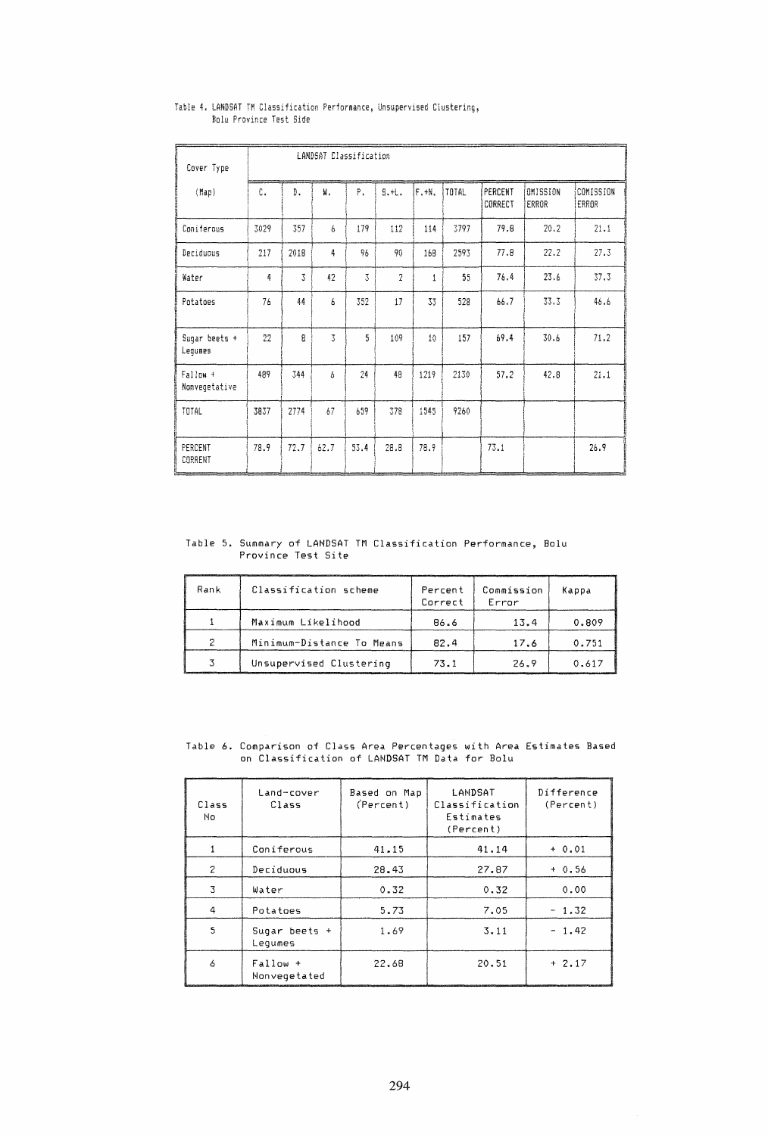| Cover Type                | LANDSAT Classification |      |                |      |                |              |              |                    |                   |                    |
|---------------------------|------------------------|------|----------------|------|----------------|--------------|--------------|--------------------|-------------------|--------------------|
| (Map)                     | C.                     | D.   | 빟.             | Ρ.   | $5. + 1.$      | F.H.         | <b>TOTAL</b> | PERCENT<br>CORRECT | OMISSION<br>ERROR | COMISSION<br>ERROR |
| Coniferous                | 3029                   | 357  | 6              | 179  | 112            | 114          | 3797         | 79.8               | 20.2              | 21.1               |
| Deciduous                 | 217                    | 2018 | 4              | 96   | 90             | 168          | 2593         | 77.8               | 22.2              | 27.3               |
| Water                     | 4                      | 3    | 42             | 3    | $\overline{c}$ | $\mathbf{1}$ | 55           | 76.4               | 23.6              | 37.3               |
| Potatoes                  | 76                     | 44   | 6              | 352  | 17             | 33           | 528          | 66.7               | 33.3              | 46.6               |
| Sugar beets +<br>Lequmes  | 22                     | 8    | $\overline{3}$ | 5    | 109            | 10           | 157          | 69.4               | 30.6              | 71.2               |
| Fallow +<br>Nonvegetative | 489                    | 344  | 6              | 24   | 48             | 1219         | 2130         | 57.2               | 42.8              | 21.1               |
| TOTAL                     | 3837                   | 2774 | 67             | 659  | 378            | 1545         | 9260         |                    |                   |                    |
| PERCENT<br>CORRENT        | 78.9                   | 72.7 | 62.7           | 53.4 | 28.8           | 78.9         |              | 73.1               |                   | 26.9               |

# Table 4. LANDSAT TM Classification Performance, Unsupervised Clustering, Bolu Province Test Side

Table 5. Summary of LANDSAT TM Classification Performance, Bolu<br>Province Test Site

| Rank | Classification scheme     | Percent<br>Correct | Commission<br>Error | Kappa |
|------|---------------------------|--------------------|---------------------|-------|
|      | Maximum Likelihood        | 86.6               | 13.4                | 0.809 |
|      | Minimum-Distance To Means | 82.4               | 17.6                | 0.751 |
|      | Unsupervised Clustering   | 73.1               | 26.9                | 0.617 |

Table 6. Comparison of Class Area Percentages with Area Estimates Based<br>on Classification of LANDSAT TM Data for Bolu

| Class<br>No.   | Land-cover<br>Class      | Based on Map<br>(Percent) | LANDSAT<br>Classification<br>Estimates<br>(Percent) | Difference<br>(Percent) |
|----------------|--------------------------|---------------------------|-----------------------------------------------------|-------------------------|
|                | Coniferous               | 41.15                     | 41.14                                               | $+ 0.01$                |
| $\overline{c}$ | Deciduous                | 28.43                     | 27.87                                               | $+0.56$                 |
| 3              | Water                    | 0.32                      | 0.32                                                | 0.00                    |
| 4              | Potatoes                 | 5.73                      | 7.05                                                | $-1.32$                 |
| 5              | Sugar beets +<br>Lequmes | 1.69                      | 3.11                                                | $-1.42$                 |
| 6              | Fallow +<br>Nonvegetated | 22.68                     | 20.51                                               | $+2.17$                 |